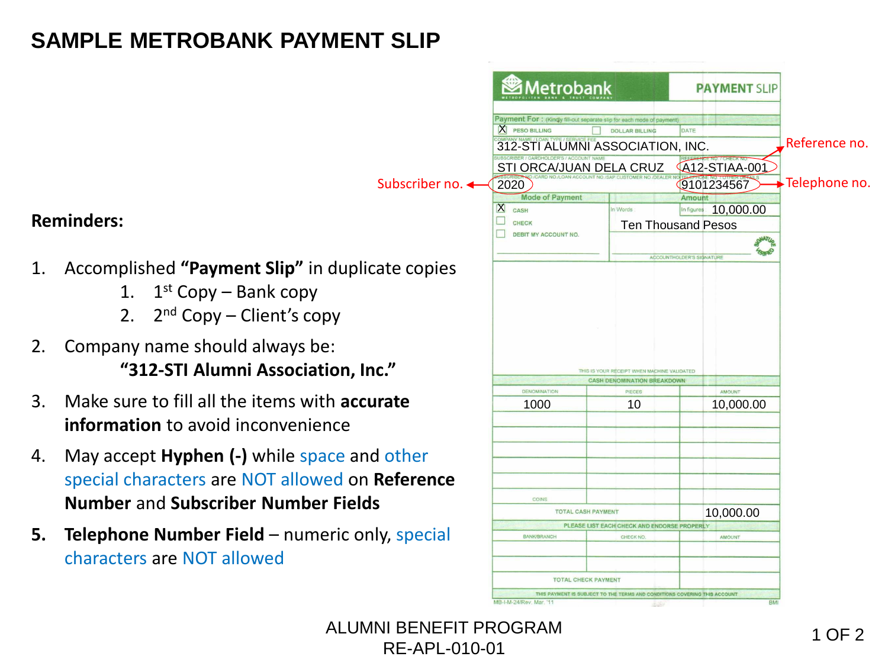## **SAMPLE METROBANK PAYMENT SLIP**

Subscriber no.

## **Reminders:**

- 1. Accomplished **"Payment Slip"** in duplicate copies
	- 1.  $1<sup>st</sup>$  Copy Bank copy
	- 2. 2<sup>nd</sup> Copy Client's copy
- 2. Company name should always be: **"312-STI Alumni Association, Inc."**
- 3. Make sure to fill all the items with **accurate information** to avoid inconvenience
- 4. May accept **Hyphen (-)** while space and other special characters are NOT allowed on **Reference Number** and **Subscriber Number Fields**
- **5. Telephone Number Field** numeric only, special characters are NOT allowed

| $\mathbf x$<br><b>PESO BILLING</b>                               | Payment For: (Kindly fill-out separate slip for each mode of payment)<br><b>DOLLAR BILLING</b> | DATE                      |                      |               |
|------------------------------------------------------------------|------------------------------------------------------------------------------------------------|---------------------------|----------------------|---------------|
| 312-STI ALUMNI ASSOCIATION, INC.                                 |                                                                                                |                           |                      | Reference no. |
| SCRIBER / CARDHOLDER'S / ACCOUNT NAME<br>STI ORCA/JUAN DELA CRUZ |                                                                                                |                           | <b>A12-STIAA-001</b> |               |
| 2020                                                             |                                                                                                |                           | 9101234567           | Telephone no. |
| <b>Mode of Payment</b>                                           |                                                                                                | <b>Amount</b>             |                      |               |
| $\mathbf{X}$<br>CASH                                             | In Words                                                                                       | In figures                | 10,000.00            |               |
| <b>CHECK</b>                                                     | <b>Ten Thousand Pesos</b>                                                                      |                           |                      |               |
| <b>DEBIT MY ACCOUNT NO.</b>                                      |                                                                                                |                           |                      |               |
|                                                                  |                                                                                                | ACCOUNTHOLDER'S SIGNATURE |                      |               |
|                                                                  | THIS IS YOUR RECEIPT WHEN MACHINE VALIDATED                                                    |                           |                      |               |
|                                                                  | <b>CASH DENOMINATION BREAKDOWN</b>                                                             |                           |                      |               |
| <b>DENOMINATION</b>                                              | PIECES                                                                                         |                           | <b>AMOUNT</b>        |               |
| 1000                                                             | 10                                                                                             |                           | 10,000.00            |               |
|                                                                  |                                                                                                |                           |                      |               |
|                                                                  |                                                                                                |                           |                      |               |
|                                                                  |                                                                                                |                           |                      |               |
|                                                                  |                                                                                                |                           |                      |               |
|                                                                  |                                                                                                |                           |                      |               |
| COINS                                                            |                                                                                                |                           |                      |               |
| <b>TOTAL CASH PAYMENT</b>                                        |                                                                                                |                           | 10,000.00            |               |
| <b>BANK/BRANCH</b>                                               | PLEASE LIST EACH CHECK AND ENDORSE PROPERLY<br>CHECK NO                                        |                           | AMOUNT               |               |

ALUMNI BENEFIT PROGRAM 1 OF 2 RE-APL-010-01